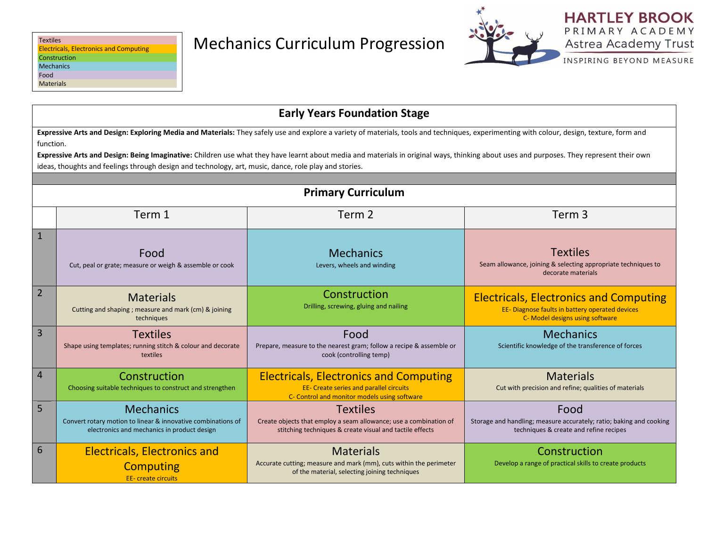

INSPIRING BEYOND MEASURE

|                | <b>Early Years Foundation Stage</b>                                                                                                                                                                                                                                                                                                                                                                                                                                                                         |                                                                                                                                                  |                                                                                                                                     |  |  |  |
|----------------|-------------------------------------------------------------------------------------------------------------------------------------------------------------------------------------------------------------------------------------------------------------------------------------------------------------------------------------------------------------------------------------------------------------------------------------------------------------------------------------------------------------|--------------------------------------------------------------------------------------------------------------------------------------------------|-------------------------------------------------------------------------------------------------------------------------------------|--|--|--|
|                | Expressive Arts and Design: Exploring Media and Materials: They safely use and explore a variety of materials, tools and techniques, experimenting with colour, design, texture, form and<br>function.<br>Expressive Arts and Design: Being Imaginative: Children use what they have learnt about media and materials in original ways, thinking about uses and purposes. They represent their own<br>ideas, thoughts and feelings through design and technology, art, music, dance, role play and stories. |                                                                                                                                                  |                                                                                                                                     |  |  |  |
|                | <b>Primary Curriculum</b>                                                                                                                                                                                                                                                                                                                                                                                                                                                                                   |                                                                                                                                                  |                                                                                                                                     |  |  |  |
|                | Term 1<br>Term <sub>3</sub><br>Term 2                                                                                                                                                                                                                                                                                                                                                                                                                                                                       |                                                                                                                                                  |                                                                                                                                     |  |  |  |
| $\mathbf{1}$   | Food<br>Cut, peal or grate; measure or weigh & assemble or cook                                                                                                                                                                                                                                                                                                                                                                                                                                             | <b>Mechanics</b><br>Levers, wheels and winding                                                                                                   | <b>Textiles</b><br>Seam allowance, joining & selecting appropriate techniques to<br>decorate materials                              |  |  |  |
| $\overline{2}$ | <b>Materials</b><br>Cutting and shaping; measure and mark (cm) & joining<br>techniques                                                                                                                                                                                                                                                                                                                                                                                                                      | Construction<br>Drilling, screwing, gluing and nailing                                                                                           | <b>Electricals, Electronics and Computing</b><br>EE- Diagnose faults in battery operated devices<br>C- Model designs using software |  |  |  |
| 3              | <b>Textiles</b><br>Shape using templates; running stitch & colour and decorate<br>textiles                                                                                                                                                                                                                                                                                                                                                                                                                  | Food<br>Prepare, measure to the nearest gram; follow a recipe & assemble or<br>cook (controlling temp)                                           | <b>Mechanics</b><br>Scientific knowledge of the transference of forces                                                              |  |  |  |
| 4              | Construction<br>Choosing suitable techniques to construct and strengthen                                                                                                                                                                                                                                                                                                                                                                                                                                    | <b>Electricals, Electronics and Computing</b><br><b>EE- Create series and parallel circuits</b><br>C- Control and monitor models using software  | <b>Materials</b><br>Cut with precision and refine; qualities of materials                                                           |  |  |  |
| 5              | <b>Mechanics</b><br>Convert rotary motion to linear & innovative combinations of<br>electronics and mechanics in product design                                                                                                                                                                                                                                                                                                                                                                             | <b>Textiles</b><br>Create objects that employ a seam allowance; use a combination of<br>stitching techniques & create visual and tactile effects | Food<br>Storage and handling; measure accurately; ratio; baking and cooking<br>techniques & create and refine recipes               |  |  |  |
| 6              | <b>Electricals, Electronics and</b><br><b>Computing</b><br><b>EE-</b> create circuits                                                                                                                                                                                                                                                                                                                                                                                                                       | <b>Materials</b><br>Accurate cutting; measure and mark (mm), cuts within the perimeter<br>of the material, selecting joining techniques          | Construction<br>Develop a range of practical skills to create products                                                              |  |  |  |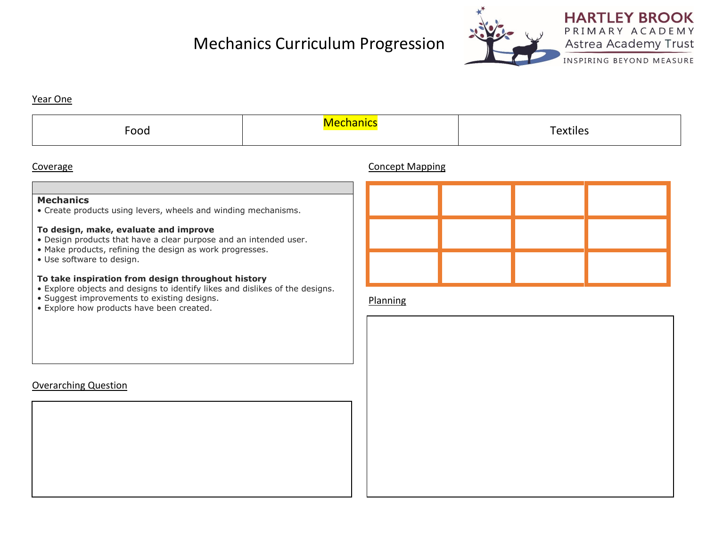# Mechanics Curriculum Progression



**HARTLEY BROOK** PRIMARY ACADEMY Astrea Academy Trust

INSPIRING BEYOND MEASURE

#### Year One

| -<br>$\sim$ $\sim$<br>ooa | ule. |
|---------------------------|------|
|                           |      |

### Coverage Concept Mapping

## **Mechanics**

• Create products using levers, wheels and winding mechanisms.

#### **To design, make, evaluate and improve**

- Design products that have a clear purpose and an intended user.
- Make products, refining the design as work progresses.
- Use software to design.

#### **To take inspiration from design throughout history**

- Explore objects and designs to identify likes and dislikes of the designs.
- Suggest improvements to existing designs.
- Explore how products have been created.

#### Planning

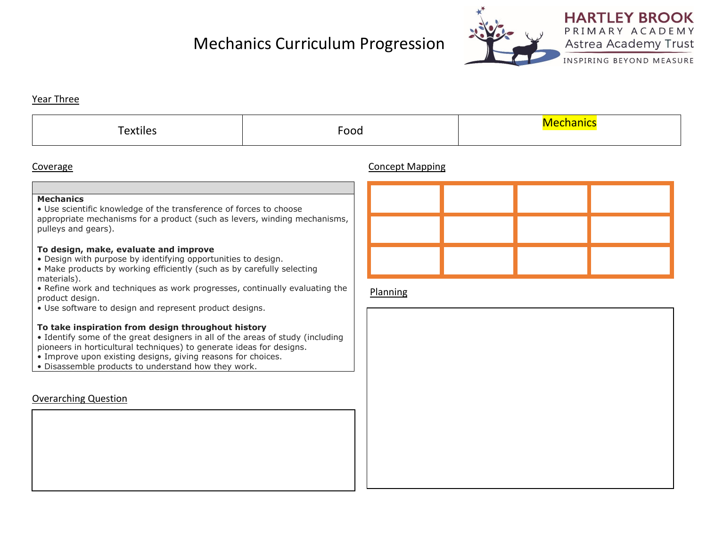# Mechanics Curriculum Progression



# **HARTLEY BROOK** PRIMARY ACADEMY Astrea Academy Trust

INSPIRING BEYOND MEASURE

#### Year Three

|  | Food |  |
|--|------|--|
|--|------|--|

### Coverage Concept Mapping

#### **Mechanics**

• Use scientific knowledge of the transference of forces to choose appropriate mechanisms for a product (such as levers, winding mechanisms, pulleys and gears).

#### **To design, make, evaluate and improve**

- Design with purpose by identifying opportunities to design.
- Make products by working efficiently (such as by carefully selecting materials).
- Refine work and techniques as work progresses, continually evaluating the product design.
- Use software to design and represent product designs.

#### **To take inspiration from design throughout history**

- Identify some of the great designers in all of the areas of study (including pioneers in horticultural techniques) to generate ideas for designs.
- Improve upon existing designs, giving reasons for choices.
- Disassemble products to understand how they work.

## Overarching Question

### Planning